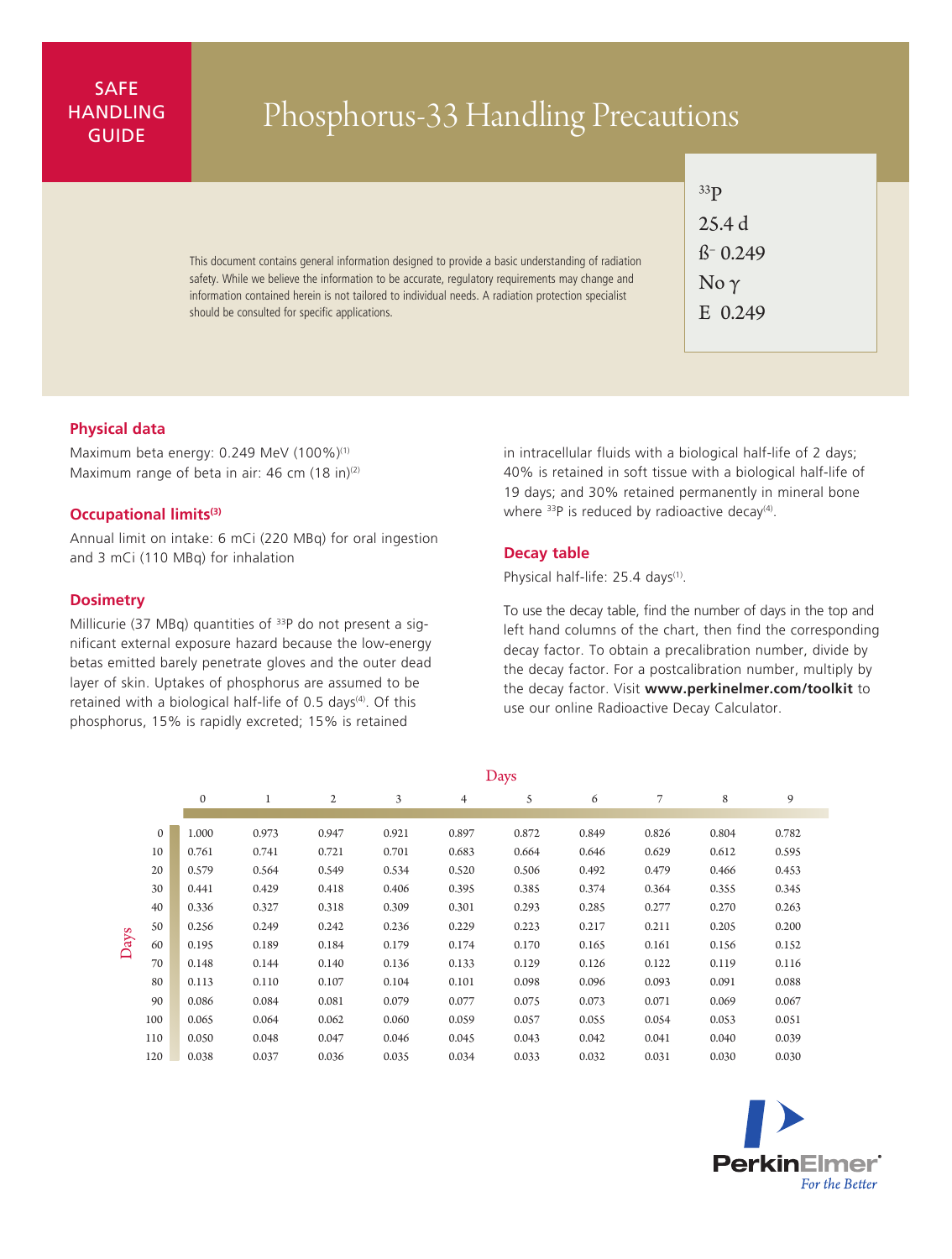# SAFE **HANDLING**

# ANDLING Phosphorus-33 Handling Precautions

This document contains general information designed to provide a basic understanding of radiation safety. While we believe the information to be accurate, regulatory requirements may change and information contained herein is not tailored to individual needs. A radiation protection specialist should be consulted for specific applications.

| 33 p                       |  |  |  |  |  |  |  |  |
|----------------------------|--|--|--|--|--|--|--|--|
| 25.4 d                     |  |  |  |  |  |  |  |  |
| $\beta$ <sup>-</sup> 0.249 |  |  |  |  |  |  |  |  |
| No $\gamma$                |  |  |  |  |  |  |  |  |
| E 0.249                    |  |  |  |  |  |  |  |  |

# **Physical data**

Maximum beta energy: 0.249 MeV (100%)<sup>(1)</sup> Maximum range of beta in air: 46 cm  $(18 \text{ in})^{(2)}$ 

## **Occupational limits(3)**

Annual limit on intake: 6 mCi (220 MBq) for oral ingestion and 3 mCi (110 MBq) for inhalation

#### **Dosimetry**

Millicurie (37 MBq) quantities of  $33P$  do not present a significant external exposure hazard because the low-energy betas emitted barely penetrate gloves and the outer dead layer of skin. Uptakes of phosphorus are assumed to be retained with a biological half-life of 0.5 days<sup>(4)</sup>. Of this phosphorus, 15% is rapidly excreted; 15% is retained

in intracellular fluids with a biological half-life of 2 days; 40% is retained in soft tissue with a biological half-life of 19 days; and 30% retained permanently in mineral bone where  $33P$  is reduced by radioactive decay<sup>(4)</sup>.

# **Decay table**

Physical half-life: 25.4 days<sup>(1)</sup>.

To use the decay table, find the number of days in the top and left hand columns of the chart, then find the corresponding decay factor. To obtain a precalibration number, divide by the decay factor. For a postcalibration number, multiply by the decay factor. Visit **www.perkinelmer.com/toolkit** to use our online Radioactive Decay Calculator.

|      |              | $\epsilon$   |       |       |       |       |       |       |       |       |       |
|------|--------------|--------------|-------|-------|-------|-------|-------|-------|-------|-------|-------|
|      |              | $\mathbf{0}$ |       | 2     | 3     | 4     | 5     | 6     | 7     | 8     | 9     |
|      |              |              |       |       |       |       |       |       |       |       |       |
| Days | $\mathbf{0}$ | 1.000        | 0.973 | 0.947 | 0.921 | 0.897 | 0.872 | 0.849 | 0.826 | 0.804 | 0.782 |
|      | 10           | 0.761        | 0.741 | 0.721 | 0.701 | 0.683 | 0.664 | 0.646 | 0.629 | 0.612 | 0.595 |
|      | 20           | 0.579        | 0.564 | 0.549 | 0.534 | 0.520 | 0.506 | 0.492 | 0.479 | 0.466 | 0.453 |
|      | 30           | 0.441        | 0.429 | 0.418 | 0.406 | 0.395 | 0.385 | 0.374 | 0.364 | 0.355 | 0.345 |
|      | 40           | 0.336        | 0.327 | 0.318 | 0.309 | 0.301 | 0.293 | 0.285 | 0.277 | 0.270 | 0.263 |
|      | 50           | 0.256        | 0.249 | 0.242 | 0.236 | 0.229 | 0.223 | 0.217 | 0.211 | 0.205 | 0.200 |
|      | 60           | 0.195        | 0.189 | 0.184 | 0.179 | 0.174 | 0.170 | 0.165 | 0.161 | 0.156 | 0.152 |
|      | 70           | 0.148        | 0.144 | 0.140 | 0.136 | 0.133 | 0.129 | 0.126 | 0.122 | 0.119 | 0.116 |
|      | 80           | 0.113        | 0.110 | 0.107 | 0.104 | 0.101 | 0.098 | 0.096 | 0.093 | 0.091 | 0.088 |
|      | 90           | 0.086        | 0.084 | 0.081 | 0.079 | 0.077 | 0.075 | 0.073 | 0.071 | 0.069 | 0.067 |
|      | 100          | 0.065        | 0.064 | 0.062 | 0.060 | 0.059 | 0.057 | 0.055 | 0.054 | 0.053 | 0.051 |
|      | 110          | 0.050        | 0.048 | 0.047 | 0.046 | 0.045 | 0.043 | 0.042 | 0.041 | 0.040 | 0.039 |
|      | 120          | 0.038        | 0.037 | 0.036 | 0.035 | 0.034 | 0.033 | 0.032 | 0.031 | 0.030 | 0.030 |

Days